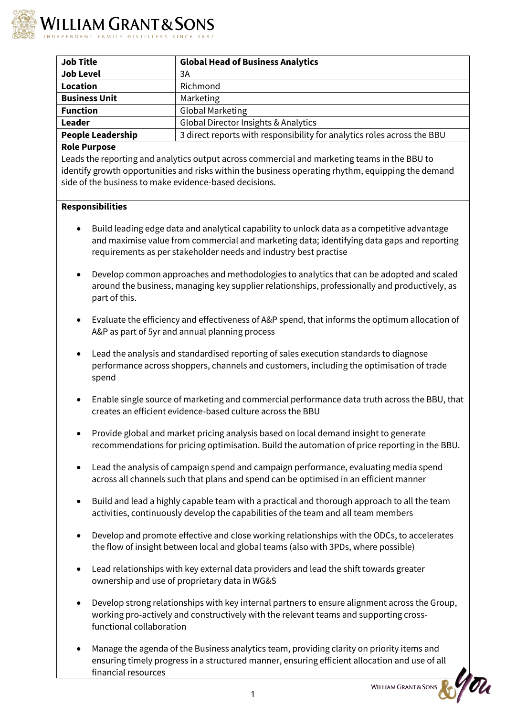

| <b>Job Title</b>         | <b>Global Head of Business Analytics</b>                                |
|--------------------------|-------------------------------------------------------------------------|
| <b>Job Level</b>         | 3A                                                                      |
| <b>Location</b>          | Richmond                                                                |
| <b>Business Unit</b>     | Marketing                                                               |
| <b>Function</b>          | <b>Global Marketing</b>                                                 |
| Leader                   | Global Director Insights & Analytics                                    |
| <b>People Leadership</b> | 3 direct reports with responsibility for analytics roles across the BBU |

## **Role Purpose**

Leads the reporting and analytics output across commercial and marketing teams in the BBU to identify growth opportunities and risks within the business operating rhythm, equipping the demand side of the business to make evidence-based decisions.

## **Responsibilities**

- Build leading edge data and analytical capability to unlock data as a competitive advantage and maximise value from commercial and marketing data; identifying data gaps and reporting requirements as per stakeholder needs and industry best practise
- Develop common approaches and methodologies to analytics that can be adopted and scaled around the business, managing key supplier relationships, professionally and productively, as part of this.
- Evaluate the efficiency and effectiveness of A&P spend, that informs the optimum allocation of A&P as part of 5yr and annual planning process
- Lead the analysis and standardised reporting of sales execution standards to diagnose performance across shoppers, channels and customers, including the optimisation of trade spend
- Enable single source of marketing and commercial performance data truth across the BBU, that creates an efficient evidence-based culture across the BBU
- Provide global and market pricing analysis based on local demand insight to generate recommendations for pricing optimisation. Build the automation of price reporting in the BBU.
- Lead the analysis of campaign spend and campaign performance, evaluating media spend across all channels such that plans and spend can be optimised in an efficient manner
- Build and lead a highly capable team with a practical and thorough approach to all the team activities, continuously develop the capabilities of the team and all team members
- Develop and promote effective and close working relationships with the ODCs, to accelerates the flow of insight between local and global teams (also with 3PDs, where possible)
- Lead relationships with key external data providers and lead the shift towards greater ownership and use of proprietary data in WG&S
- Develop strong relationships with key internal partners to ensure alignment across the Group, working pro-actively and constructively with the relevant teams and supporting crossfunctional collaboration
- Manage the agenda of the Business analytics team, providing clarity on priority items and ensuring timely progress in a structured manner, ensuring efficient allocation and use of all financial resources